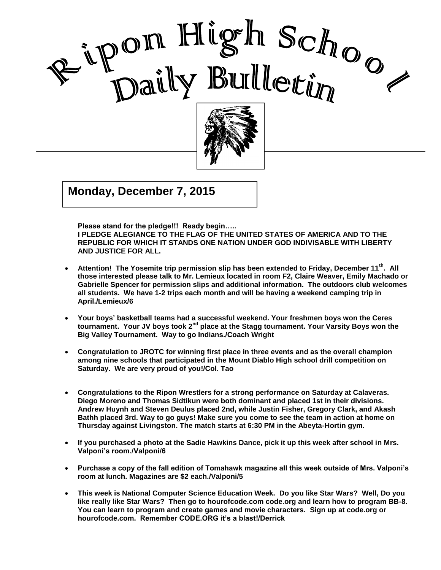

, 2002

I

Good<br>Good Good Morning Ripon High **Monday, December 7, 2015**

**Please stand for the pledge!!! Ready begin…..** 

**I PLEDGE ALEGIANCE TO THE FLAG OF THE UNITED STATES OF AMERICA AND TO THE REPUBLIC FOR WHICH IT STANDS ONE NATION UNDER GOD INDIVISABLE WITH LIBERTY AND JUSTICE FOR ALL.**

- **Attention! The Yosemite trip permission slip has been extended to Friday, December 11th. All those interested please talk to Mr. Lemieux located in room F2, Claire Weaver, Emily Machado or Gabrielle Spencer for permission slips and additional information. The outdoors club welcomes all students. We have 1-2 trips each month and will be having a weekend camping trip in April./Lemieux/6**
- **Your boys' basketball teams had a successful weekend. Your freshmen boys won the Ceres tournament. Your JV boys took 2nd place at the Stagg tournament. Your Varsity Boys won the Big Valley Tournament. Way to go Indians./Coach Wright**
- **Congratulation to JROTC for winning first place in three events and as the overall champion among nine schools that participated in the Mount Diablo High school drill competition on Saturday. We are very proud of you!/Col. Tao**
- **Congratulations to the Ripon Wrestlers for a strong performance on Saturday at Calaveras. Diego Moreno and Thomas Sidtikun were both dominant and placed 1st in their divisions. Andrew Huynh and Steven Deulus placed 2nd, while Justin Fisher, Gregory Clark, and Akash Bathh placed 3rd. Way to go guys! Make sure you come to see the team in action at home on Thursday against Livingston. The match starts at 6:30 PM in the Abeyta-Hortin gym.**
- **If you purchased a photo at the Sadie Hawkins Dance, pick it up this week after school in Mrs. Valponi's room./Valponi/6**
- **Purchase a copy of the fall edition of Tomahawk magazine all this week outside of Mrs. Valponi's room at lunch. Magazines are \$2 each./Valponi/5**
- **This week is National Computer Science Education Week. Do you like Star Wars? Well, Do you like really like Star Wars? Then go to hourofcode.com code.org and learn how to program BB-8. You can learn to program and create games and movie characters. Sign up at code.org or hourofcode.com. Remember CODE.ORG it's a blast!/Derrick**